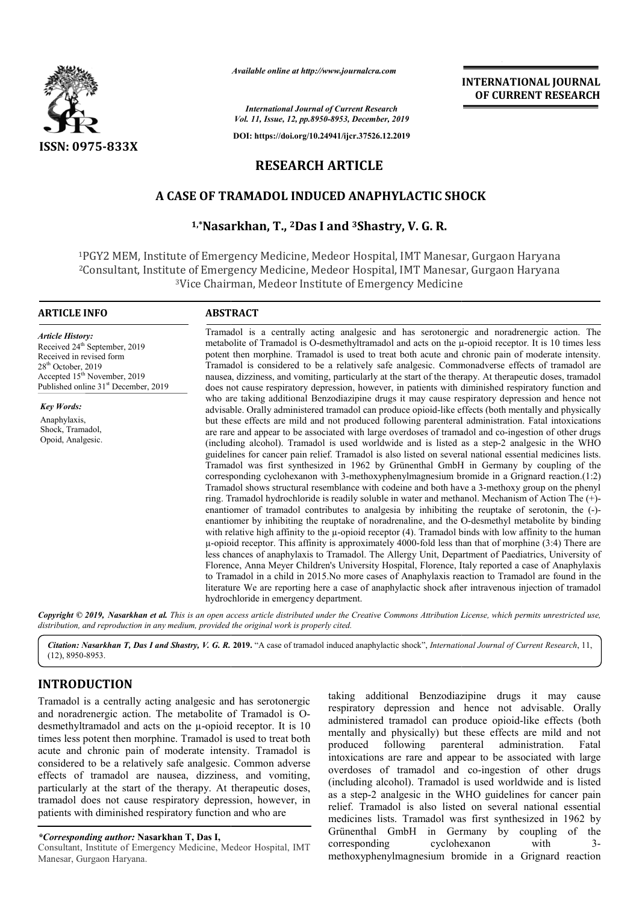

*Available online at http://www.journalcra.com*

*International Journal of Current Research Vol. 11, Issue, 12, pp.8950-8953, December, 2019*

**DOI: https://doi.org/10.24941/ijcr.37526.12.2019**

# **RESEARCH ARTICLE**

## **A CASE OF TRAMADOL INDUCED ANAPHYLACTIC SHOCK TRAMADOL ANAPHYLACTIC SHOCK**

## **1,\*Nasarkhan Nasarkhan, T., 2Das I and 3Shastry, V. G. R.**

<sup>1</sup>PGY2 MEM, Institute of Emergency Medicine, Medeor Hospital, IMT Manesar, Gurgaon Haryana <sup>2</sup>Consultant, Institute of Emergency Medicine, Medeor Hospital, IMT Manesar, Gurgaon Haryana<br><sup>3</sup>Vice Chairman, Medeor Institute of Emergency Medicine 3Vice Chairman, Medeor Institute of Emergency Medicine

#### **ARTICLE INFO ABSTRACT**

Received 24<sup>th</sup> September, 2019 Received in revised form 28<sup>th</sup> October, 2019

Accepted 15<sup>th</sup> November, 2019 Published online 31<sup>st</sup> December, 2019

*Article History:*

*Key Words:* Anaphylaxis, Shock, Tramadol, Opoid, Analgesic.

Tramadol is a centrally acting analgesic and has serotonergic and noradrenergic action. The metabolite of Tramadol is O-desmethyltramadol and acts on the  $\mu$ -opioid receptor. It is 10 times less potent then morphine. Tramadol is used to treat both acute and chronic pain of moderate intensity. Tramadol is considered to be a relatively safe analgesic. Commonadverse effects of tramadol are nausea, dizziness, and vomiting, particularly at the start of the therapy. At therapeutic doses, tramadol does not cause respiratory depression, however, in patients with diminished respiratory function and who are taking additional Benzodiazipine drugs it may cause respiratory depression and hence not advisable advisable. Orally administered tramadol can produce opioid-like effects (both mentally and physically who are taking additional Benzodiazipine drugs it may cause respiratory depression and hence not advisable. Orally administered tramadol can produce opioid-like effects (both mentally and physically but these effects are m are rare and appear to be associated with large overdoses of tramadol and co-ingestion of other drugs (including alcohol). Tramadol is used worldwide and is listed as a step-2 analgesic in the WHO guidelines for cancer pain relief. Tramadol is also listed on several national essential medicines lists. Tramadol was first synthesized in 1962 by Grünenthal GmbH in Germany by coupling of the corresponding cyclohexanon with 3 3-methoxyphenylmagnesium bro Tramadol shows structural resemblance with codeine and both have a 3-methoxy group on the phenyl ring. Tramadol hydrochloride is readily soluble in water and methanol. Mechanism of Action The (+)enantiomer of tramadol contributes to analgesia by inhibiting the reuptake of serotonin, the (-)enantiomer by inhibiting the reuptake of noradrenaline, and the O-desmethyl metabolite by binding with relative high affinity to the  $\mu$ -opioid receptor (4). Tramadol binds with low affinity to the human  $\mu$ -opioid receptor. This affinity is approximately 4000-fold less than that of morphine (3:4) There are less chances of anaphylaxis to Tramadol. The Allergy Unit, Department of Paediatrics, University of Florence, Anna Meyer Children's University Hospital, Florence, Italy reported a case of Anaphylaxis to Tramadol in a child in 2015.No more cases of Anaphylaxis reaction to Tramadol are found in the literature We are reporting here a case of anaphylactic shock after intravenous injection of tramadol hydrochloride in emergency department. potent then morphine. Tramadol is used to treat both acute and chronic pain of moderate intensity.<br>Tramadol is considered to be a relatively safe analgesic. Commonadverse effects of tramadol are<br>nausea, dizziness, and vomi guidelines for cancer pain relief. Tramadol is also listed on several national essential medicines lists.<br>Tramadol was first synthesized in 1962 by Grünenthal GmbH in Germany by coupling of the<br>corresponding cyclohexanon w µ-opioid receptor. This affinity is approximately 4000-fold less than that of morphine (3:4) There are less chances of anaphylaxis to Tramadol. The Allergy Unit, Department of Paediatrics, University of Florence, Anna Meye

Copyright © 2019, Nasarkhan et al. This is an open access article distributed under the Creative Commons Attribution License, which permits unrestricted use, *distribution, and reproduction in any medium, provided the original work is properly cited.*

*Citation: Nasarkhan T, Das I and Shastry, V. G. R.* **2019.** "A case of tramadol induced anaphylactic shock", *International Journal of Current Research*, 11,(12), 8950-8953.

## **INTRODUCTION**

Tramadol is a centrally acting analgesic and has serotonergic and noradrenergic action. The metabolite of Tramadol is O Odesmethyltramadol and acts on the µ-opioid receptor. It is 10 times less potent then morphine. Tramadol is used to treat both acute and chronic pain of moderate intensity. Tramadol is considered to be a relatively safe analgesic. Common adverse effects of tramadol are nausea, dizziness, and vomiting, particularly at the start of the therapy. At therapeutic doses, tramadol does not cause respiratory depression, however, in patients with diminished respiratory function and who are

ng analgesic and has serotonergic<br>
The metabolite of Tramadol is O-<br>
on the  $\mu$ -opioid receptor. It is 10<br>
on the  $\mu$ -opioid receptor. It is 10<br>
inne. Tramadol is used to treat both<br>
moderate intensity. Tramadol is<br>
mode respiratory depression and hence not advisable. Orally taking additional Benzodiazipine drugs it may cause<br>respiratory depression and hence not advisable. Orally<br>administered tramadol can produce opioid-like effects (both mentally and physically) but these effects are mild and not produced following parenteral administration. Fatal intoxications are rare and appear to be associated with large overdoses of tramadol and co-ingestion of other drugs (including alcohol). Tramadol is used worldwide and is listed as a step-2 analgesic in the WHO guidelines for cancer pain relief. Tramadol is also listed on several national essential medicines lists. Tramadol was first synthesized in 1962 by Grünenthal GmbH in Germany by coupling of the corresponding cyclohexanon with 3methoxyphenylmagnesium bromide in a Grignard reaction mentally and physically) but these effects are mild and not<br>produced following parenteral administration. Fatal<br>intoxications are rare and appear to be associated with large<br>overdoses of tramadol and co-ingestion of other as a step-2 analgesic in the WHO guidelines for cancer pain<br>relief. Tramadol is also listed on several national essential<br>medicines lists. Tramadol was first synthesized in 1962 by<br>Grünenthal GmbH in Germany by coupling of

 **INTERNATIONAL JOURNAL OF CURRENT RESEARCH**

*<sup>\*</sup>Corresponding author:* **Nasarkhan T, Das I,**

Consultant, Institute of Emergency Medicine, Medeor Hospital, IMT Manesar, Gurgaon Haryana.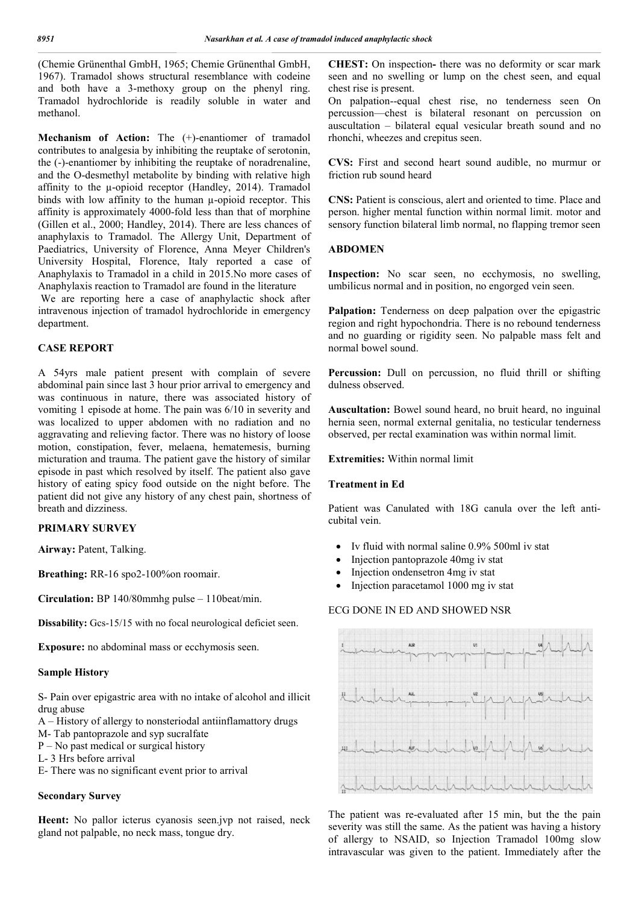(Chemie Grünenthal GmbH, 1965; Chemie Grünenthal GmbH, 1967). Tramadol shows structural resemblance with codeine and both have a 3-methoxy group on the phenyl ring. Tramadol hydrochloride is readily soluble in water and methanol.

**Mechanism of Action:** The (+)-enantiomer of tramadol contributes to analgesia by inhibiting the reuptake of serotonin, the (-)-enantiomer by inhibiting the reuptake of noradrenaline, and the O-desmethyl metabolite by binding with relative high affinity to the µ-opioid receptor (Handley, 2014). Tramadol binds with low affinity to the human µ-opioid receptor. This affinity is approximately 4000-fold less than that of morphine (Gillen et al., 2000; Handley, 2014). There are less chances of anaphylaxis to Tramadol. The Allergy Unit, Department of Paediatrics, University of Florence, Anna Meyer Children's University Hospital, Florence, Italy reported a case of Anaphylaxis to Tramadol in a child in 2015.No more cases of Anaphylaxis reaction to Tramadol are found in the literature

We are reporting here a case of anaphylactic shock after intravenous injection of tramadol hydrochloride in emergency department.

## **CASE REPORT**

A 54yrs male patient present with complain of severe abdominal pain since last 3 hour prior arrival to emergency and was continuous in nature, there was associated history of vomiting 1 episode at home. The pain was 6/10 in severity and was localized to upper abdomen with no radiation and no aggravating and relieving factor. There was no history of loose motion, constipation, fever, melaena, hematemesis, burning micturation and trauma. The patient gave the history of similar episode in past which resolved by itself. The patient also gave history of eating spicy food outside on the night before. The patient did not give any history of any chest pain, shortness of breath and dizziness.

## **PRIMARY SURVEY**

**Airway:** Patent, Talking.

**Breathing:** RR-16 spo2-100%on roomair.

**Circulation:** BP 140/80mmhg pulse – 110beat/min.

**Dissability:** Gcs-15/15 with no focal neurological deficiet seen.

**Exposure:** no abdominal mass or ecchymosis seen.

#### **Sample History**

S- Pain over epigastric area with no intake of alcohol and illicit drug abuse

- A History of allergy to nonsteriodal antiinflamattory drugs
- M- Tab pantoprazole and syp sucralfate
- P No past medical or surgical history
- L- 3 Hrs before arrival
- E- There was no significant event prior to arrival

#### **Secondary Survey**

**Heent:** No pallor icterus cyanosis seen.jvp not raised, neck gland not palpable, no neck mass, tongue dry.

**CHEST:** On inspection**-** there was no deformity or scar mark seen and no swelling or lump on the chest seen, and equal chest rise is present.

On palpation--equal chest rise, no tenderness seen On percussion—chest is bilateral resonant on percussion on auscultation – bilateral equal vesicular breath sound and no rhonchi, wheezes and crepitus seen.

**CVS:** First and second heart sound audible, no murmur or friction rub sound heard

**CNS:** Patient is conscious, alert and oriented to time. Place and person. higher mental function within normal limit. motor and sensory function bilateral limb normal, no flapping tremor seen

#### **ABDOMEN**

**Inspection:** No scar seen, no ecchymosis, no swelling, umbilicus normal and in position, no engorged vein seen.

Palpation: Tenderness on deep palpation over the epigastric region and right hypochondria. There is no rebound tenderness and no guarding or rigidity seen. No palpable mass felt and normal bowel sound.

Percussion: Dull on percussion, no fluid thrill or shifting dulness observed.

**Auscultation:** Bowel sound heard, no bruit heard, no inguinal hernia seen, normal external genitalia, no testicular tenderness observed, per rectal examination was within normal limit.

**Extremities:** Within normal limit

#### **Treatment in Ed**

Patient was Canulated with 18G canula over the left anticubital vein.

- Iv fluid with normal saline 0.9% 500ml iv stat
- Injection pantoprazole 40mg iv stat
- Injection ondensetron 4mg iv stat
- Injection paracetamol 1000 mg iv stat

#### ECG DONE IN ED AND SHOWED NSR



The patient was re-evaluated after 15 min, but the the pain severity was still the same. As the patient was having a history of allergy to NSAID, so Injection Tramadol 100mg slow intravascular was given to the patient. Immediately after the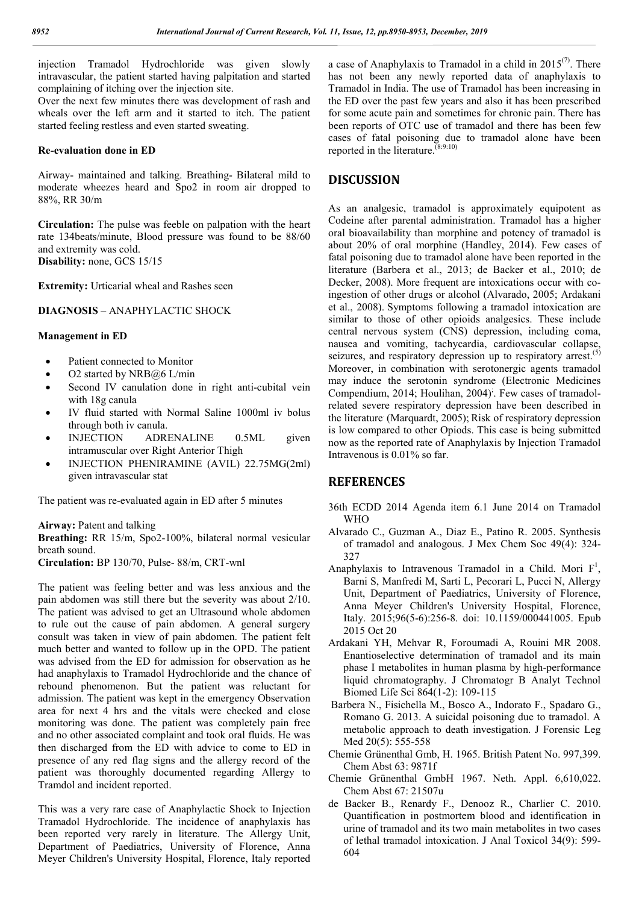injection Tramadol Hydrochloride was given slowly intravascular, the patient started having palpitation and started complaining of itching over the injection site.

Over the next few minutes there was development of rash and wheals over the left arm and it started to itch. The patient started feeling restless and even started sweating.

#### **Re-evaluation done in ED**

Airway- maintained and talking. Breathing- Bilateral mild to moderate wheezes heard and Spo2 in room air dropped to 88%, RR 30/m

**Circulation:** The pulse was feeble on palpation with the heart rate 134beats/minute, Blood pressure was found to be 88/60 and extremity was cold. **Disability:** none, GCS 15/15

**Extremity:** Urticarial wheal and Rashes seen

#### **DIAGNOSIS** – ANAPHYLACTIC SHOCK

#### **Management in ED**

- Patient connected to Monitor
- O2 started by NRB@6 L/min
- Second IV canulation done in right anti-cubital vein with 18g canula
- IV fluid started with Normal Saline 1000ml iv bolus through both iv canula.
- INJECTION ADRENALINE 0.5ML given intramuscular over Right Anterior Thigh
- INJECTION PHENIRAMINE (AVIL) 22.75MG(2ml) given intravascular stat

The patient was re-evaluated again in ED after 5 minutes

**Airway:** Patent and talking

**Breathing:** RR 15/m, Spo2-100%, bilateral normal vesicular breath sound.

**Circulation:** BP 130/70, Pulse- 88/m, CRT-wnl

The patient was feeling better and was less anxious and the pain abdomen was still there but the severity was about 2/10. The patient was advised to get an Ultrasound whole abdomen to rule out the cause of pain abdomen. A general surgery consult was taken in view of pain abdomen. The patient felt much better and wanted to follow up in the OPD. The patient was advised from the ED for admission for observation as he had anaphylaxis to Tramadol Hydrochloride and the chance of rebound phenomenon. But the patient was reluctant for admission. The patient was kept in the emergency Observation area for next 4 hrs and the vitals were checked and close monitoring was done. The patient was completely pain free and no other associated complaint and took oral fluids. He was then discharged from the ED with advice to come to ED in presence of any red flag signs and the allergy record of the patient was thoroughly documented regarding Allergy to Tramdol and incident reported.

This was a very rare case of Anaphylactic Shock to Injection Tramadol Hydrochloride. The incidence of anaphylaxis has been reported very rarely in literature. The Allergy Unit, Department of Paediatrics, University of Florence, Anna Meyer Children's University Hospital, Florence, Italy reported a case of Anaphylaxis to Tramadol in a child in  $2015^{(7)}$ . There has not been any newly reported data of anaphylaxis to Tramadol in India. The use of Tramadol has been increasing in the ED over the past few years and also it has been prescribed for some acute pain and sometimes for chronic pain. There has been reports of OTC use of tramadol and there has been few cases of fatal poisoning due to tramadol alone have been reported in the literature.  $^{(8:9:10)}$ 

## **DISCUSSION**

As an analgesic, tramadol is approximately equipotent as Codeine after parental administration. Tramadol has a higher oral bioavailability than morphine and potency of tramadol is about 20% of oral morphine (Handley, 2014). Few cases of fatal poisoning due to tramadol alone have been reported in the literature (Barbera et al., 2013; de Backer et al., 2010; de Decker, 2008). More frequent are intoxications occur with coingestion of other drugs or alcohol (Alvarado, 2005; Ardakani et al., 2008). Symptoms following a tramadol intoxication are similar to those of other opioids analgesics. These include central nervous system (CNS) depression, including coma, nausea and vomiting, tachycardia, cardiovascular collapse, seizures, and respiratory depression up to respiratory arrest.<sup>(5)</sup> Moreover, in combination with serotonergic agents tramadol may induce the serotonin syndrome (Electronic Medicines Compendium, 2014; Houlihan, 2004) ; . Few cases of tramadolrelated severe respiratory depression have been described in the literature (Marquardt, 2005); Risk of respiratory depression is low compared to other Opiods. This case is being submitted now as the reported rate of Anaphylaxis by Injection Tramadol Intravenous is 0.01% so far.

### **REFERENCES**

- 36th ECDD 2014 Agenda item 6.1 June 2014 on Tramadol WHO
- Alvarado C., Guzman A., Diaz E., Patino R. 2005. Synthesis of tramadol and analogous. J Mex Chem Soc 49(4): 324- 327
- Anaphylaxis to Intravenous Tramadol in a Child. Mori  $F^1$ , Barni S, Manfredi M, Sarti L, Pecorari L, Pucci N, Allergy Unit, Department of Paediatrics, University of Florence, Anna Meyer Children's University Hospital, Florence, Italy. 2015;96(5-6):256-8. doi: 10.1159/000441005. Epub 2015 Oct 20
- Ardakani YH, Mehvar R, Foroumadi A, Rouini MR 2008. Enantioselective determination of tramadol and its main phase I metabolites in human plasma by high-performance liquid chromatography. J Chromatogr B Analyt Technol Biomed Life Sci 864(1-2): 109-115
- Barbera N., Fisichella M., Bosco A., Indorato F., Spadaro G., Romano G. 2013. A suicidal poisoning due to tramadol. A metabolic approach to death investigation. J Forensic Leg Med 20(5): 555-558
- Chemie Grünenthal Gmb, H. 1965. British Patent No. 997,399. Chem Abst 63: 9871f
- Chemie Grünenthal GmbH 1967. Neth. Appl. 6,610,022. Chem Abst 67: 21507u
- de Backer B., Renardy F., Denooz R., Charlier C. 2010. Quantification in postmortem blood and identification in urine of tramadol and its two main metabolites in two cases of lethal tramadol intoxication. J Anal Toxicol 34(9): 599- 604